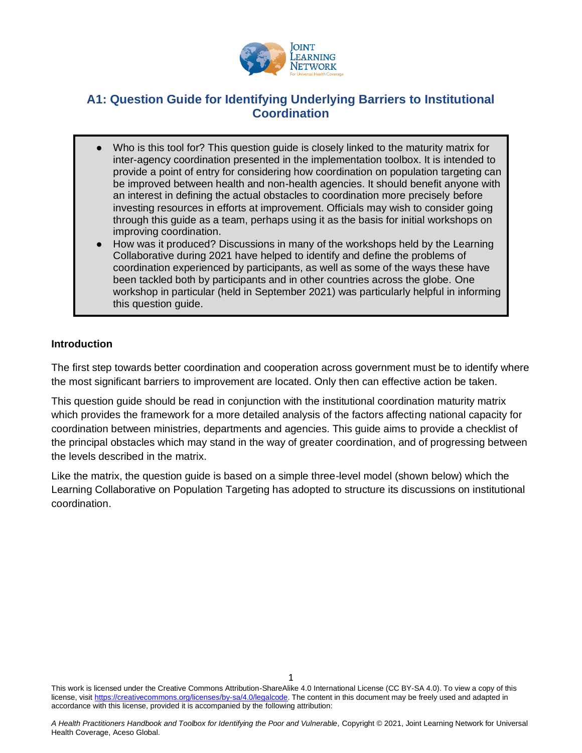

## **A1: Question Guide for Identifying Underlying Barriers to Institutional Coordination**

- Who is this tool for? This question guide is closely linked to the maturity matrix for inter-agency coordination presented in the implementation toolbox. It is intended to provide a point of entry for considering how coordination on population targeting can be improved between health and non-health agencies. It should benefit anyone with an interest in defining the actual obstacles to coordination more precisely before investing resources in efforts at improvement. Officials may wish to consider going through this guide as a team, perhaps using it as the basis for initial workshops on improving coordination.
- How was it produced? Discussions in many of the workshops held by the Learning Collaborative during 2021 have helped to identify and define the problems of coordination experienced by participants, as well as some of the ways these have been tackled both by participants and in other countries across the globe. One workshop in particular (held in September 2021) was particularly helpful in informing this question guide.

## **Introduction**

The first step towards better coordination and cooperation across government must be to identify where the most significant barriers to improvement are located. Only then can effective action be taken.

This question guide should be read in conjunction with the institutional coordination maturity matrix which provides the framework for a more detailed analysis of the factors affecting national capacity for coordination between ministries, departments and agencies. This guide aims to provide a checklist of the principal obstacles which may stand in the way of greater coordination, and of progressing between the levels described in the matrix.

Like the matrix, the question guide is based on a simple three-level model (shown below) which the Learning Collaborative on Population Targeting has adopted to structure its discussions on institutional coordination.

This work is licensed under the Creative Commons Attribution-ShareAlike 4.0 International License (CC BY-SA 4.0). To view a copy of this license, visi[t https://creativecommons.org/licenses/by-sa/4.0/legalcode.](https://creativecommons.org/licenses/by-sa/4.0/legalcode) The content in this document may be freely used and adapted in accordance with this license, provided it is accompanied by the following attribution: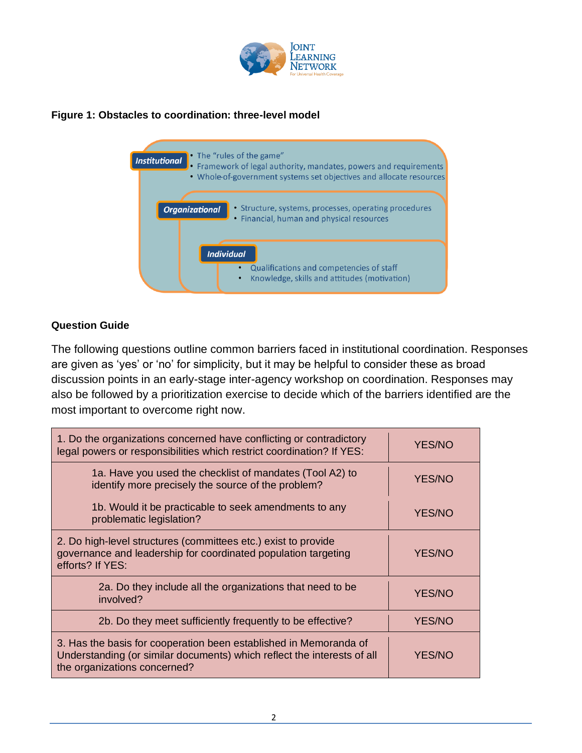

## **Figure 1: Obstacles to coordination: three-level model**



## **Question Guide**

The following questions outline common barriers faced in institutional coordination. Responses are given as 'yes' or 'no' for simplicity, but it may be helpful to consider these as broad discussion points in an early-stage inter-agency workshop on coordination. Responses may also be followed by a prioritization exercise to decide which of the barriers identified are the most important to overcome right now.

| 1. Do the organizations concerned have conflicting or contradictory<br>legal powers or responsibilities which restrict coordination? If YES:                                 | <b>YES/NO</b> |
|------------------------------------------------------------------------------------------------------------------------------------------------------------------------------|---------------|
| 1a. Have you used the checklist of mandates (Tool A2) to<br>identify more precisely the source of the problem?                                                               | <b>YES/NO</b> |
| 1b. Would it be practicable to seek amendments to any<br>problematic legislation?                                                                                            | <b>YES/NO</b> |
| 2. Do high-level structures (committees etc.) exist to provide<br>governance and leadership for coordinated population targeting<br>efforts? If YES:                         | <b>YES/NO</b> |
| 2a. Do they include all the organizations that need to be<br>involved?                                                                                                       | <b>YES/NO</b> |
| 2b. Do they meet sufficiently frequently to be effective?                                                                                                                    | <b>YES/NO</b> |
| 3. Has the basis for cooperation been established in Memoranda of<br>Understanding (or similar documents) which reflect the interests of all<br>the organizations concerned? | <b>YES/NO</b> |